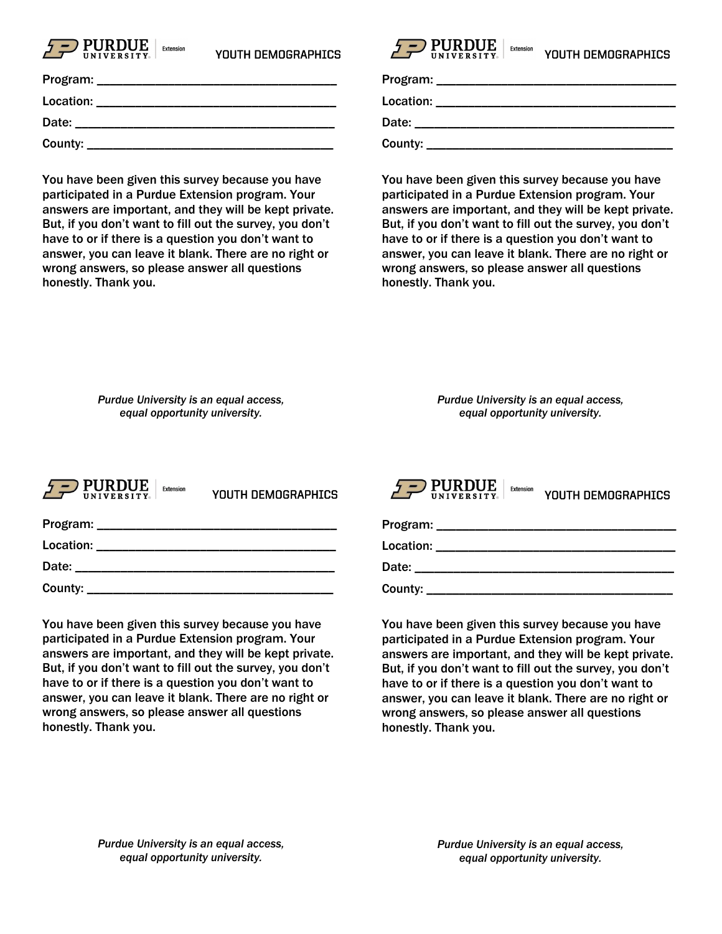

| Program:  |  |
|-----------|--|
| Location: |  |
| Date:     |  |
| County:   |  |

You have been given this survey because you have participated in a Purdue Extension program. Your answers are important, and they will be kept private. But, if you don't want to fill out the survey, you don't have to or if there is a question you don't want to answer, you can leave it blank. There are no right or wrong answers, so please answer all questions honestly. Thank you.

| YOUTH DEMOGRAPHICS | $\sqrt{2}$ PURDUE<br><b>IINIVERSITY.</b> | <b>Extension</b> | YOUTH DEMOGRAPHICS |
|--------------------|------------------------------------------|------------------|--------------------|
|--------------------|------------------------------------------|------------------|--------------------|

| Program: |  |
|----------|--|
|          |  |
|          |  |
|          |  |

Location: \_\_\_\_\_\_\_\_\_\_\_\_\_\_\_\_\_\_\_\_\_\_\_\_\_\_\_\_\_\_\_\_\_\_\_\_\_

Date: \_\_\_\_\_\_\_\_\_\_\_\_\_\_\_\_\_\_\_\_\_\_\_\_\_\_\_\_\_\_\_\_\_\_\_\_\_\_\_\_

County:

You have been given this survey because you have participated in a Purdue Extension program. Your answers are important, and they will be kept private. But, if you don't want to fill out the survey, you don't have to or if there is a question you don't want to answer, you can leave it blank. There are no right or wrong answers, so please answer all questions honestly. Thank you.

*Purdue University is an equal access, equal opportunity university.*

*Purdue University is an equal access, equal opportunity university.*



YOUTH DEMOGRAPHICS

| Program:  |  |
|-----------|--|
| Location: |  |
| Date:     |  |
| County:   |  |

You have been given this survey because you have participated in a Purdue Extension program. Your answers are important, and they will be kept private. But, if you don't want to fill out the survey, you don't have to or if there is a question you don't want to answer, you can leave it blank. There are no right or wrong answers, so please answer all questions honestly. Thank you.



You have been given this survey because you have participated in a Purdue Extension program. Your answers are important, and they will be kept private. But, if you don't want to fill out the survey, you don't have to or if there is a question you don't want to answer, you can leave it blank. There are no right or wrong answers, so please answer all questions honestly. Thank you.

*Purdue University is an equal access, equal opportunity university.*

*Purdue University is an equal access, equal opportunity university.*